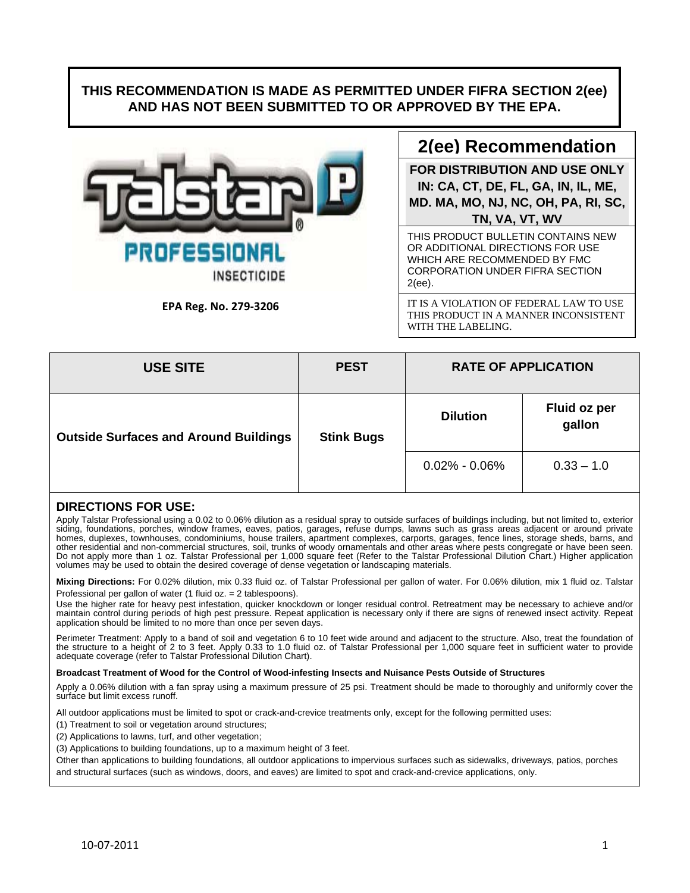## **THIS RECOMMENDATION IS MADE AS PERMITTED UNDER FIFRA SECTION 2(ee) AND HAS NOT BEEN SUBMITTED TO OR APPROVED BY THE EPA.**



**EPA Reg. No. 279‐3206**

# **2(ee) Recommendation**

**FOR DISTRIBUTION AND USE ONLY IN: CA, CT, DE, FL, GA, IN, IL, ME, MD. MA, MO, NJ, NC, OH, PA, RI, SC, TN, VA, VT, WV** 

THIS PRODUCT BULLETIN CONTAINS NEW OR ADDITIONAL DIRECTIONS FOR USE WHICH ARE RECOMMENDED BY FMC CORPORATION UNDER FIFRA SECTION 2(ee).

IT IS A VIOLATION OF FEDERAL LAW TO USE THIS PRODUCT IN A MANNER INCONSISTENT WITH THE LABELING.

| <b>USE SITE</b>                              | <b>PEST</b>       | <b>RATE OF APPLICATION</b> |                        |
|----------------------------------------------|-------------------|----------------------------|------------------------|
| <b>Outside Surfaces and Around Buildings</b> | <b>Stink Bugs</b> | <b>Dilution</b>            | Fluid oz per<br>gallon |
|                                              |                   | $0.02\%$ - 0.06%           | $0.33 - 1.0$           |

### **DIRECTIONS FOR USE:**

Apply Talstar Professional using a 0.02 to 0.06% dilution as a residual spray to outside surfaces of buildings including, but not limited to, exterior siding, foundations, porches, window frames, eaves, patios, garages, refuse dumps, lawns such as grass areas adjacent or around private homes, duplexes, townhouses, condominiums, house trailers, apartment complexes, carports, garages, fence lines, storage sheds, barns, and other residential and non-commercial structures, soil, trunks of woody ornamentals and other areas where pests congregate or have been seen. Do not apply more than 1 oz. Talstar Professional per 1,000 square feet (Refer to the Talstar Professional Dilution Chart.) Higher application volumes may be used to obtain the desired coverage of dense vegetation or landscaping materials.

**Mixing Directions:** For 0.02% dilution, mix 0.33 fluid oz. of Talstar Professional per gallon of water. For 0.06% dilution, mix 1 fluid oz. Talstar Professional per gallon of water (1 fluid oz. = 2 tablespoons).

Use the higher rate for heavy pest infestation, quicker knockdown or longer residual control. Retreatment may be necessary to achieve and/or<br>maintain control during periods of high pest pressure. Repeat application is nece application should be limited to no more than once per seven days.

Perimeter Treatment: Apply to a band of soil and vegetation 6 to 10 feet wide around and adjacent to the structure. Also, treat the foundation of the structure to a height of 2 to 3 feet. Apply 0.33 to 1.0 fluid oz. of Talstar Professional per 1,000 square feet in sufficient water to provide adequate coverage (refer to Talstar Professional Dilution Chart).

#### **Broadcast Treatment of Wood for the Control of Wood-infesting Insects and Nuisance Pests Outside of Structures**

Apply a 0.06% dilution with a fan spray using a maximum pressure of 25 psi. Treatment should be made to thoroughly and uniformly cover the surface but limit excess runoff.

All outdoor applications must be limited to spot or crack-and-crevice treatments only, except for the following permitted uses:

(1) Treatment to soil or vegetation around structures;

(2) Applications to lawns, turf, and other vegetation;

(3) Applications to building foundations, up to a maximum height of 3 feet.

Other than applications to building foundations, all outdoor applications to impervious surfaces such as sidewalks, driveways, patios, porches and structural surfaces (such as windows, doors, and eaves) are limited to spot and crack-and-crevice applications, only.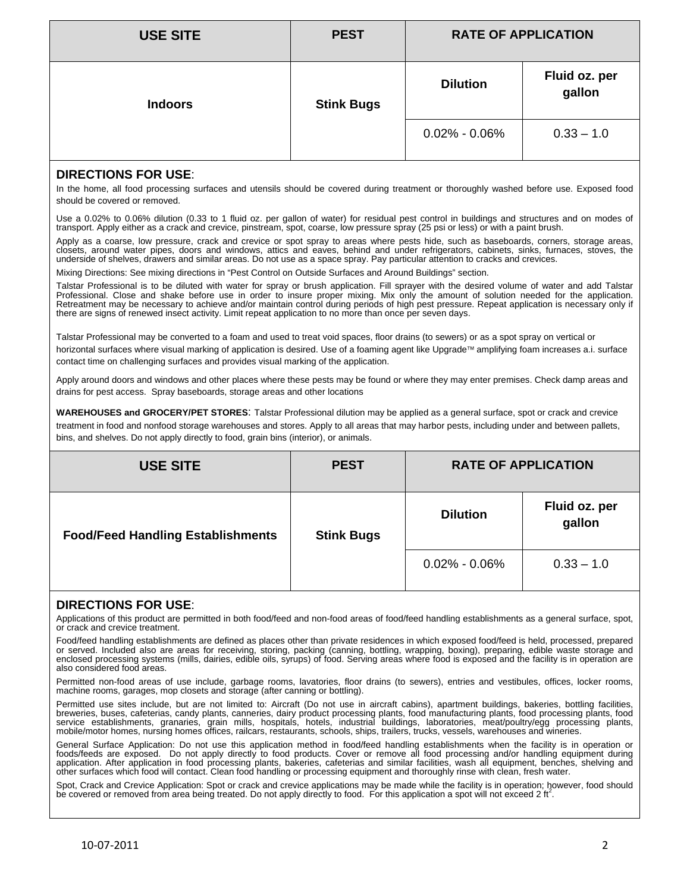| <b>USE SITE</b> | <b>PEST</b>       | <b>RATE OF APPLICATION</b> |                         |
|-----------------|-------------------|----------------------------|-------------------------|
| <b>Indoors</b>  | <b>Stink Bugs</b> | <b>Dilution</b>            | Fluid oz. per<br>gallon |
|                 |                   | $0.02\% - 0.06\%$          | $0.33 - 1.0$            |

## **DIRECTIONS FOR USE**:

In the home, all food processing surfaces and utensils should be covered during treatment or thoroughly washed before use. Exposed food should be covered or removed.

Use a 0.02% to 0.06% dilution (0.33 to 1 fluid oz. per gallon of water) for residual pest control in buildings and structures and on modes of transport. Apply either as a crack and crevice, pinstream, spot, coarse, low pressure spray (25 psi or less) or with a paint brush.

Apply as a coarse, low pressure, crack and crevice or spot spray to areas where pests hide, such as baseboards, corners, storage areas,<br>closets, around water pipes, doors and windows, attics and eaves, behind and under ref underside of shelves, drawers and similar areas. Do not use as a space spray. Pay particular attention to cracks and crevices.

Mixing Directions: See mixing directions in "Pest Control on Outside Surfaces and Around Buildings" section.

Talstar Professional is to be diluted with water for spray or brush application. Fill sprayer with the desired volume of water and add Talstar Professional. Close and shake before use in order to insure proper mixing. Mix only the amount of solution needed for the application. Retreatment may be necessary to achieve and/or maintain control during periods of high pest pressure. Repeat application is necessary only if<br>there are signs of renewed insect activity. Limit repeat application to no more

Talstar Professional may be converted to a foam and used to treat void spaces, floor drains (to sewers) or as a spot spray on vertical or horizontal surfaces where visual marking of application is desired. Use of a foaming agent like Upgrade™ amplifying foam increases a.i. surface contact time on challenging surfaces and provides visual marking of the application.

Apply around doors and windows and other places where these pests may be found or where they may enter premises. Check damp areas and drains for pest access. Spray baseboards, storage areas and other locations

**WAREHOUSES and GROCERY/PET STORES**: Talstar Professional dilution may be applied as a general surface, spot or crack and crevice treatment in food and nonfood storage warehouses and stores. Apply to all areas that may harbor pests, including under and between pallets, bins, and shelves. Do not apply directly to food, grain bins (interior), or animals.

| <b>USE SITE</b>                          | <b>PEST</b>       | <b>RATE OF APPLICATION</b> |                         |
|------------------------------------------|-------------------|----------------------------|-------------------------|
| <b>Food/Feed Handling Establishments</b> | <b>Stink Bugs</b> | <b>Dilution</b>            | Fluid oz. per<br>gallon |
|                                          |                   | $0.02\%$ - 0.06%           | $0.33 - 1.0$            |

### **DIRECTIONS FOR USE**:

Applications of this product are permitted in both food/feed and non-food areas of food/feed handling establishments as a general surface, spot, or crack and crevice treatment.

Food/feed handling establishments are defined as places other than private residences in which exposed food/feed is held, processed, prepared<br>or served. Included also are areas for receiving, storing, packing (canning, bot enclosed processing systems (mills, dairies, edible oils, syrups) of food. Serving areas where food is exposed and the facility is in operation are also considered food areas.

Permitted non-food areas of use include, garbage rooms, lavatories, floor drains (to sewers), entries and vestibules, offices, locker rooms,<br>machine rooms, garages, mop closets and storage (after canning or bottling).

Permitted use sites include, but are not limited to: Aircraft (Do not use in aircraft cabins), apartment buildings, bakeries, bottling facilities, breweries, buses, cafeterias, candy plants, canneries, dairy product processing plants, food manufacturing plants, food processing plants, food service establishments, granaries, grain mills, hospitals, hotels, industrial buildings, laboratories, meat/poultry/egg processing plants,<br>mobile/motor homes, nursing homes offices, railcars, restaurants, schools, ships, t

General Surface Application: Do not use this application method in food/feed handling establishments when the facility is in operation or<br>foods/feeds are exposed. Do not apply directly to food products. Cover or remove all

Spot, Crack and Crevice Application: Spot or crack and crevice applications may be made while the facility is in operation; however, food should be covered or removed from area being treated. Do not apply directly to food. For this application a spot will not exceed 2 ft<sup>2</sup>.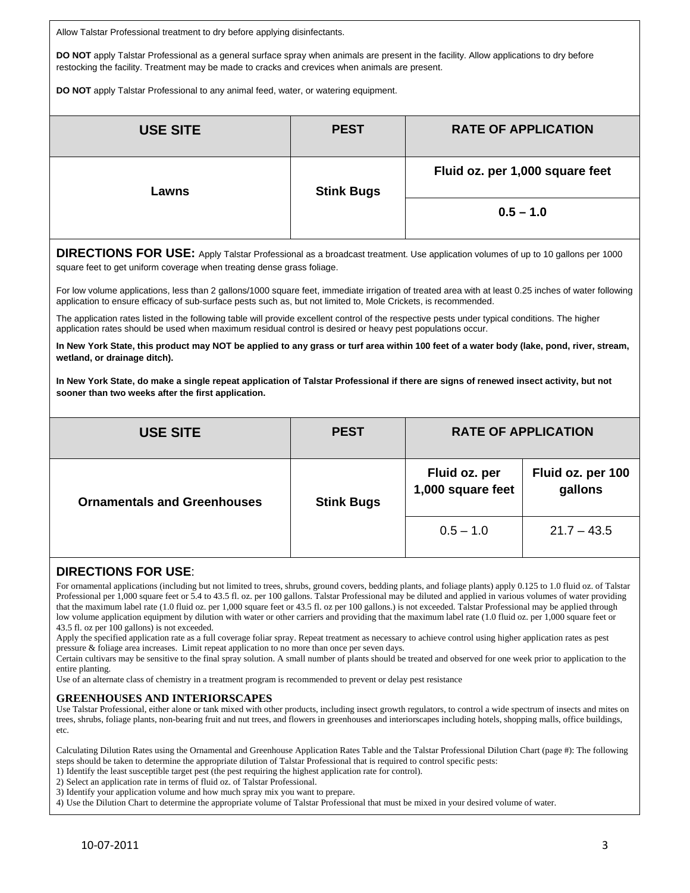Allow Talstar Professional treatment to dry before applying disinfectants.

**DO NOT** apply Talstar Professional as a general surface spray when animals are present in the facility. Allow applications to dry before restocking the facility. Treatment may be made to cracks and crevices when animals are present.

**DO NOT** apply Talstar Professional to any animal feed, water, or watering equipment.

| <b>USE SITE</b>            | <b>PEST</b> | <b>RATE OF APPLICATION</b>      |  |
|----------------------------|-------------|---------------------------------|--|
| <b>Stink Bugs</b><br>Lawns |             | Fluid oz. per 1,000 square feet |  |
|                            |             | $0.5 - 1.0$                     |  |

**DIRECTIONS FOR USE:** Apply Talstar Professional as a broadcast treatment. Use application volumes of up to 10 gallons per 1000 square feet to get uniform coverage when treating dense grass foliage.

For low volume applications, less than 2 gallons/1000 square feet, immediate irrigation of treated area with at least 0.25 inches of water following application to ensure efficacy of sub-surface pests such as, but not limited to, Mole Crickets, is recommended.

The application rates listed in the following table will provide excellent control of the respective pests under typical conditions. The higher application rates should be used when maximum residual control is desired or heavy pest populations occur.

**In New York State, this product may NOT be applied to any grass or turf area within 100 feet of a water body (lake, pond, river, stream, wetland, or drainage ditch).** 

**In New York State, do make a single repeat application of Talstar Professional if there are signs of renewed insect activity, but not sooner than two weeks after the first application.**

| <b>USE SITE</b>                    | <b>PEST</b>       | <b>RATE OF APPLICATION</b>         |                              |
|------------------------------------|-------------------|------------------------------------|------------------------------|
| <b>Ornamentals and Greenhouses</b> | <b>Stink Bugs</b> | Fluid oz. per<br>1,000 square feet | Fluid oz. per 100<br>gallons |
|                                    |                   | $0.5 - 1.0$                        | $21.7 - 43.5$                |

## **DIRECTIONS FOR USE**:

For ornamental applications (including but not limited to trees, shrubs, ground covers, bedding plants, and foliage plants) apply 0.125 to 1.0 fluid oz. of Talstar Professional per 1,000 square feet or 5.4 to 43.5 fl. oz. per 100 gallons. Talstar Professional may be diluted and applied in various volumes of water providing that the maximum label rate (1.0 fluid oz. per 1,000 square feet or 43.5 fl. oz per 100 gallons.) is not exceeded. Talstar Professional may be applied through low volume application equipment by dilution with water or other carriers and providing that the maximum label rate (1.0 fluid oz. per 1,000 square feet or 43.5 fl. oz per 100 gallons) is not exceeded.

Apply the specified application rate as a full coverage foliar spray. Repeat treatment as necessary to achieve control using higher application rates as pest pressure & foliage area increases. Limit repeat application to no more than once per seven days.

Certain cultivars may be sensitive to the final spray solution. A small number of plants should be treated and observed for one week prior to application to the entire planting.

Use of an alternate class of chemistry in a treatment program is recommended to prevent or delay pest resistance

### **GREENHOUSES AND INTERIORSCAPES**

Use Talstar Professional, either alone or tank mixed with other products, including insect growth regulators, to control a wide spectrum of insects and mites on trees, shrubs, foliage plants, non-bearing fruit and nut trees, and flowers in greenhouses and interiorscapes including hotels, shopping malls, office buildings, etc.

Calculating Dilution Rates using the Ornamental and Greenhouse Application Rates Table and the Talstar Professional Dilution Chart (page #): The following steps should be taken to determine the appropriate dilution of Talstar Professional that is required to control specific pests:

1) Identify the least susceptible target pest (the pest requiring the highest application rate for control).

2) Select an application rate in terms of fluid oz. of Talstar Professional.

3) Identify your application volume and how much spray mix you want to prepare.

4) Use the Dilution Chart to determine the appropriate volume of Talstar Professional that must be mixed in your desired volume of water.